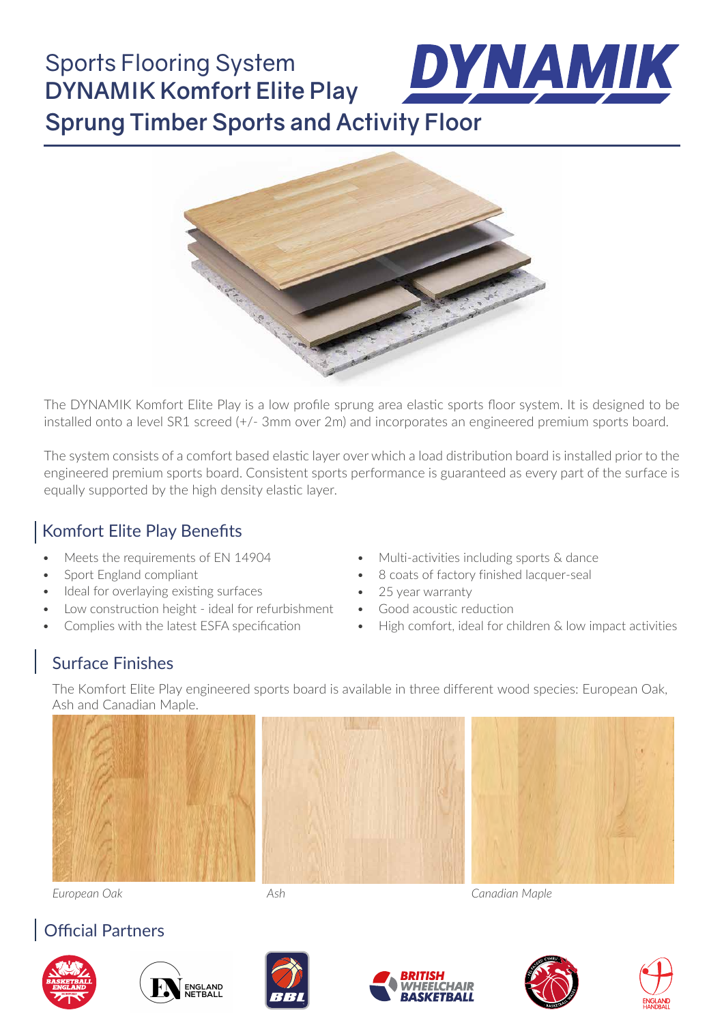### DYNAMIK Sports Flooring System **DYNAMIK Komfort Elite Play Sprung Timber Sports and Activity Floor**



The DYNAMIK Komfort Elite Play is a low profile sprung area elastic sports floor system. It is designed to be installed onto a level SR1 screed (+/- 3mm over 2m) and incorporates an engineered premium sports board.

The system consists of a comfort based elastic layer over which a load distribution board is installed prior to the engineered premium sports board. Consistent sports performance is guaranteed as every part of the surface is equally supported by the high density elastic layer.

### Komfort Elite Play Benefits

- Meets the requirements of EN 14904
- Sport England compliant
- Ideal for overlaying existing surfaces
- Low construction height ideal for refurbishment
- Complies with the latest ESFA specification
- Multi-activities including sports & dance
- 8 coats of factory finished lacquer-seal
- 25 year warranty
- Good acoustic reduction
- High comfort, ideal for children & low impact activities

### Surface Finishes

The Komfort Elite Play engineered sports board is available in three different wood species: European Oak, Ash and Canadian Maple.







*European Oak Ash Canadian Maple*

### Official Partners